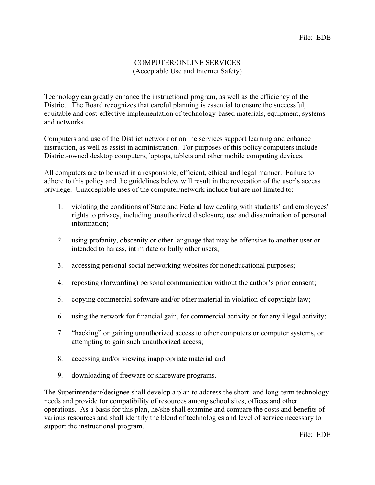## COMPUTER/ONLINE SERVICES (Acceptable Use and Internet Safety)

Technology can greatly enhance the instructional program, as well as the efficiency of the District. The Board recognizes that careful planning is essential to ensure the successful, equitable and cost-effective implementation of technology-based materials, equipment, systems and networks.

Computers and use of the District network or online services support learning and enhance instruction, as well as assist in administration. For purposes of this policy computers include District-owned desktop computers, laptops, tablets and other mobile computing devices.

All computers are to be used in a responsible, efficient, ethical and legal manner. Failure to adhere to this policy and the guidelines below will result in the revocation of the user's access privilege. Unacceptable uses of the computer/network include but are not limited to:

- 1. violating the conditions of State and Federal law dealing with students' and employees' rights to privacy, including unauthorized disclosure, use and dissemination of personal information;
- 2. using profanity, obscenity or other language that may be offensive to another user or intended to harass, intimidate or bully other users;
- 3. accessing personal social networking websites for noneducational purposes;
- 4. reposting (forwarding) personal communication without the author's prior consent;
- 5. copying commercial software and/or other material in violation of copyright law;
- 6. using the network for financial gain, for commercial activity or for any illegal activity;
- 7. "hacking" or gaining unauthorized access to other computers or computer systems, or attempting to gain such unauthorized access;
- 8. accessing and/or viewing inappropriate material and
- 9. downloading of freeware or shareware programs.

The Superintendent/designee shall develop a plan to address the short- and long-term technology needs and provide for compatibility of resources among school sites, offices and other operations. As a basis for this plan, he/she shall examine and compare the costs and benefits of various resources and shall identify the blend of technologies and level of service necessary to support the instructional program.

File: EDE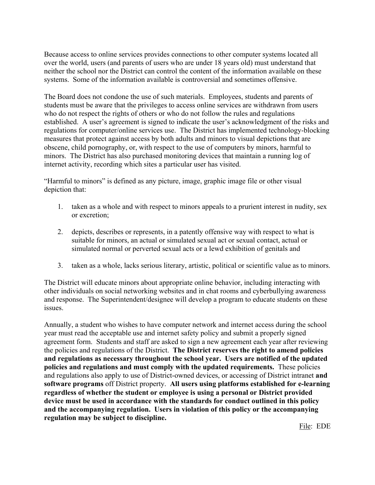Because access to online services provides connections to other computer systems located all over the world, users (and parents of users who are under 18 years old) must understand that neither the school nor the District can control the content of the information available on these systems. Some of the information available is controversial and sometimes offensive.

The Board does not condone the use of such materials. Employees, students and parents of students must be aware that the privileges to access online services are withdrawn from users who do not respect the rights of others or who do not follow the rules and regulations established. A user's agreement is signed to indicate the user's acknowledgment of the risks and regulations for computer/online services use. The District has implemented technology-blocking measures that protect against access by both adults and minors to visual depictions that are obscene, child pornography, or, with respect to the use of computers by minors, harmful to minors. The District has also purchased monitoring devices that maintain a running log of internet activity, recording which sites a particular user has visited.

"Harmful to minors" is defined as any picture, image, graphic image file or other visual depiction that:

- 1. taken as a whole and with respect to minors appeals to a prurient interest in nudity, sex or excretion;
- 2. depicts, describes or represents, in a patently offensive way with respect to what is suitable for minors, an actual or simulated sexual act or sexual contact, actual or simulated normal or perverted sexual acts or a lewd exhibition of genitals and
- 3. taken as a whole, lacks serious literary, artistic, political or scientific value as to minors.

The District will educate minors about appropriate online behavior, including interacting with other individuals on social networking websites and in chat rooms and cyberbullying awareness and response. The Superintendent/designee will develop a program to educate students on these issues.

Annually, a student who wishes to have computer network and internet access during the school year must read the acceptable use and internet safety policy and submit a properly signed agreement form. Students and staff are asked to sign a new agreement each year after reviewing the policies and regulations of the District. **The District reserves the right to amend policies and regulations as necessary throughout the school year. Users are notified of the updated policies and regulations and must comply with the updated requirements.** These policies and regulations also apply to use of District-owned devices, or accessing of District intranet **and software programs** off District property. **All users using platforms established for e-learning regardless of whether the student or employee is using a personal or District provided device must be used in accordance with the standards for conduct outlined in this policy and the accompanying regulation. Users in violation of this policy or the accompanying regulation may be subject to discipline.** 

File: EDE